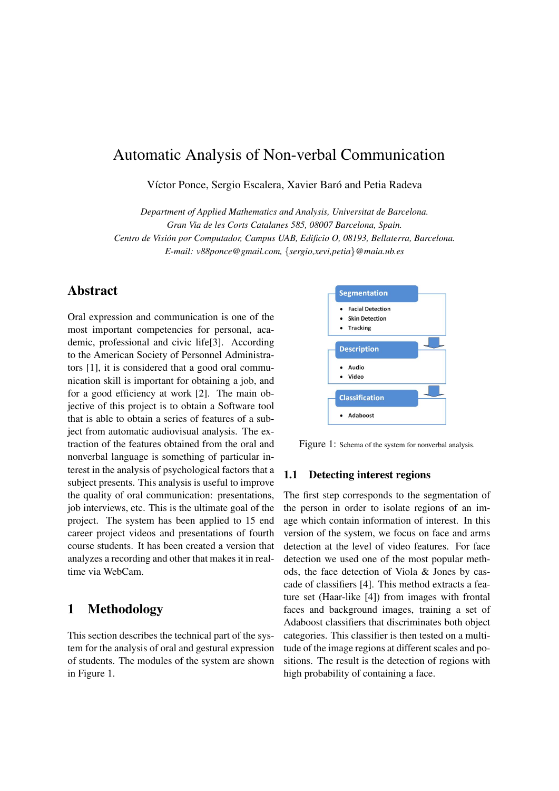# Automatic Analysis of Non-verbal Communication

Víctor Ponce, Sergio Escalera, Xavier Baró and Petia Radeva

*Department of Applied Mathematics and Analysis, Universitat de Barcelona. Gran Via de les Corts Catalanes 585, 08007 Barcelona, Spain. Centro de Vision por Computador, Campus UAB, Edificio O, 08193, Bellaterra, Barcelona. ´ E-mail: v88ponce@gmail.com,* {*sergio,xevi,petia*}*@maia.ub.es*

### Abstract

Oral expression and communication is one of the most important competencies for personal, academic, professional and civic life[3]. According to the American Society of Personnel Administrators [1], it is considered that a good oral communication skill is important for obtaining a job, and for a good efficiency at work [2]. The main objective of this project is to obtain a Software tool that is able to obtain a series of features of a subject from automatic audiovisual analysis. The extraction of the features obtained from the oral and nonverbal language is something of particular interest in the analysis of psychological factors that a subject presents. This analysis is useful to improve the quality of oral communication: presentations, job interviews, etc. This is the ultimate goal of the project. The system has been applied to 15 end career project videos and presentations of fourth course students. It has been created a version that analyzes a recording and other that makes it in realtime via WebCam.

# 1 Methodology

This section describes the technical part of the system for the analysis of oral and gestural expression of students. The modules of the system are shown in Figure 1.



Figure 1: Schema of the system for nonverbal analysis.

#### 1.1 Detecting interest regions

The first step corresponds to the segmentation of the person in order to isolate regions of an image which contain information of interest. In this version of the system, we focus on face and arms detection at the level of video features. For face detection we used one of the most popular methods, the face detection of Viola & Jones by cascade of classifiers [4]. This method extracts a feature set (Haar-like [4]) from images with frontal faces and background images, training a set of Adaboost classifiers that discriminates both object categories. This classifier is then tested on a multitude of the image regions at different scales and positions. The result is the detection of regions with high probability of containing a face.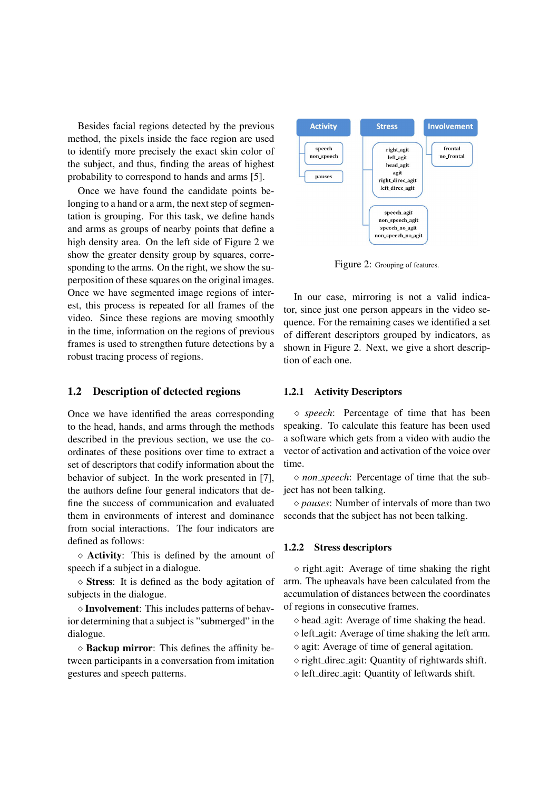Besides facial regions detected by the previous method, the pixels inside the face region are used to identify more precisely the exact skin color of the subject, and thus, finding the areas of highest probability to correspond to hands and arms [5].

Once we have found the candidate points belonging to a hand or a arm, the next step of segmentation is grouping. For this task, we define hands and arms as groups of nearby points that define a high density area. On the left side of Figure 2 we show the greater density group by squares, corresponding to the arms. On the right, we show the superposition of these squares on the original images. Once we have segmented image regions of interest, this process is repeated for all frames of the video. Since these regions are moving smoothly in the time, information on the regions of previous frames is used to strengthen future detections by a robust tracing process of regions.

### 1.2 Description of detected regions

Once we have identified the areas corresponding to the head, hands, and arms through the methods described in the previous section, we use the coordinates of these positions over time to extract a set of descriptors that codify information about the behavior of subject. In the work presented in [7], the authors define four general indicators that define the success of communication and evaluated them in environments of interest and dominance from social interactions. The four indicators are defined as follows:

 $\diamond$  **Activity**: This is defined by the amount of speech if a subject in a dialogue.

 $\diamond$  Stress: It is defined as the body agitation of subjects in the dialogue.

 $\diamond$  Involvement: This includes patterns of behavior determining that a subject is "submerged" in the dialogue.

 $\diamond$  **Backup mirror**: This defines the affinity between participants in a conversation from imitation gestures and speech patterns.



Figure 2: Grouping of features.

In our case, mirroring is not a valid indicator, since just one person appears in the video sequence. For the remaining cases we identified a set of different descriptors grouped by indicators, as shown in Figure 2. Next, we give a short description of each one.

#### 1.2.1 Activity Descriptors

 *speech*: Percentage of time that has been speaking. To calculate this feature has been used a software which gets from a video with audio the vector of activation and activation of the voice over time.

 *non speech*: Percentage of time that the subject has not been talking.

 *pauses*: Number of intervals of more than two seconds that the subject has not been talking.

#### 1.2.2 Stress descriptors

 $\circ$  right agit: Average of time shaking the right arm. The upheavals have been calculated from the accumulation of distances between the coordinates of regions in consecutive frames.

 $\diamond$  head agit: Average of time shaking the head.

- $\Diamond$  left agit: Average of time shaking the left arm.
- $\Diamond$  agit: Average of time of general agitation.
- $\Diamond$  right\_direc\_agit: Quantity of rightwards shift.
- left direc agit: Quantity of leftwards shift.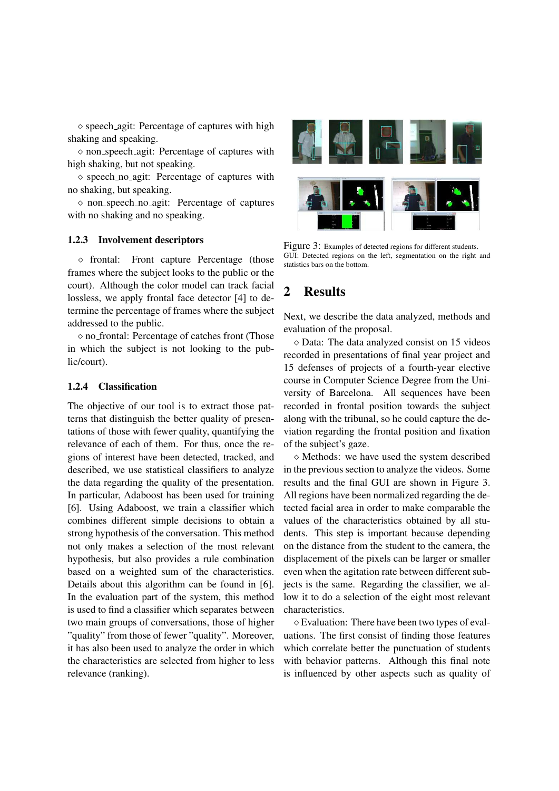$\Diamond$  speech agit: Percentage of captures with high shaking and speaking.

 non speech agit: Percentage of captures with high shaking, but not speaking.

 $\Diamond$  speech no agit: Percentage of captures with no shaking, but speaking.

 $\Diamond$  non speech no agit: Percentage of captures with no shaking and no speaking.

### 1.2.3 Involvement descriptors

 $\Diamond$  frontal: Front capture Percentage (those frames where the subject looks to the public or the court). Although the color model can track facial lossless, we apply frontal face detector [4] to determine the percentage of frames where the subject addressed to the public.

 $\Diamond$  no frontal: Percentage of catches front (Those in which the subject is not looking to the public/court).

### 1.2.4 Classification

The objective of our tool is to extract those patterns that distinguish the better quality of presentations of those with fewer quality, quantifying the relevance of each of them. For thus, once the regions of interest have been detected, tracked, and described, we use statistical classifiers to analyze the data regarding the quality of the presentation. In particular, Adaboost has been used for training [6]. Using Adaboost, we train a classifier which combines different simple decisions to obtain a strong hypothesis of the conversation. This method not only makes a selection of the most relevant hypothesis, but also provides a rule combination based on a weighted sum of the characteristics. Details about this algorithm can be found in [6]. In the evaluation part of the system, this method is used to find a classifier which separates between two main groups of conversations, those of higher "quality" from those of fewer "quality". Moreover, it has also been used to analyze the order in which the characteristics are selected from higher to less relevance (ranking).



Figure 3: Examples of detected regions for different students. GUI: Detected regions on the left, segmentation on the right and statistics bars on the bottom.

# 2 Results

Next, we describe the data analyzed, methods and evaluation of the proposal.

 $\diamond$  Data: The data analyzed consist on 15 videos recorded in presentations of final year project and 15 defenses of projects of a fourth-year elective course in Computer Science Degree from the University of Barcelona. All sequences have been recorded in frontal position towards the subject along with the tribunal, so he could capture the deviation regarding the frontal position and fixation of the subject's gaze.

 $\diamond$  Methods: we have used the system described in the previous section to analyze the videos. Some results and the final GUI are shown in Figure 3. All regions have been normalized regarding the detected facial area in order to make comparable the values of the characteristics obtained by all students. This step is important because depending on the distance from the student to the camera, the displacement of the pixels can be larger or smaller even when the agitation rate between different subjects is the same. Regarding the classifier, we allow it to do a selection of the eight most relevant characteristics.

 Evaluation: There have been two types of evaluations. The first consist of finding those features which correlate better the punctuation of students with behavior patterns. Although this final note is influenced by other aspects such as quality of